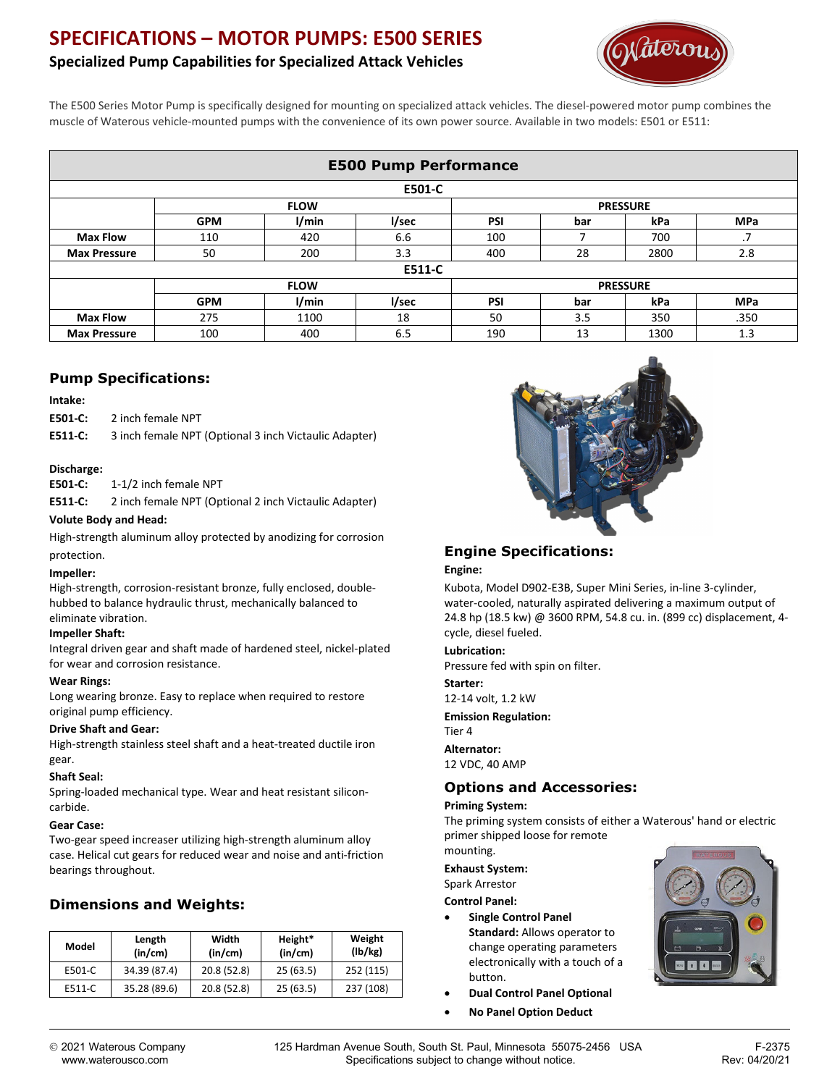# **SPECIFICATIONS – MOTOR PUMPS: E500 SERIES**

# **Specialized Pump Capabilities for Specialized Attack Vehicles**



The E500 Series Motor Pump is specifically designed for mounting on specialized attack vehicles. The diesel-powered motor pump combines the muscle of Waterous vehicle-mounted pumps with the convenience of its own power source. Available in two models: E501 or E511:

| <b>E500 Pump Performance</b> |             |       |       |                 |     |      |            |  |  |  |
|------------------------------|-------------|-------|-------|-----------------|-----|------|------------|--|--|--|
| E501-C                       |             |       |       |                 |     |      |            |  |  |  |
|                              | <b>FLOW</b> |       |       | <b>PRESSURE</b> |     |      |            |  |  |  |
|                              | <b>GPM</b>  | l/min | l/sec | <b>PSI</b>      | bar | kPa  | <b>MPa</b> |  |  |  |
| <b>Max Flow</b>              | 110         | 420   | 6.6   | 100             |     | 700  | .7         |  |  |  |
| <b>Max Pressure</b>          | 50          | 200   | 3.3   | 400             | 28  | 2800 | 2.8        |  |  |  |
| E511-C                       |             |       |       |                 |     |      |            |  |  |  |
|                              | <b>FLOW</b> |       |       | <b>PRESSURE</b> |     |      |            |  |  |  |
|                              | <b>GPM</b>  | 1/min | l/sec | PSI             | bar | kPa  | <b>MPa</b> |  |  |  |
| <b>Max Flow</b>              | 275         | 1100  | 18    | 50              | 3.5 | 350  | .350       |  |  |  |
| <b>Max Pressure</b>          | 100         | 400   | 6.5   | 190             | 13  | 1300 | 1.3        |  |  |  |

### **Pump Specifications:**

#### **Intake:**

**E501-C:** 2 inch female NPT

**E511-C:** 3 inch female NPT (Optional 3 inch Victaulic Adapter)

#### **Discharge:**

**E501-C:** 1-1/2 inch female NPT

**E511-C:** 2 inch female NPT (Optional 2 inch Victaulic Adapter)

#### **Volute Body and Head:**

High-strength aluminum alloy protected by anodizing for corrosion protection.

#### **Impeller:**

High-strength, corrosion-resistant bronze, fully enclosed, doublehubbed to balance hydraulic thrust, mechanically balanced to eliminate vibration.

#### **Impeller Shaft:**

Integral driven gear and shaft made of hardened steel, nickel-plated for wear and corrosion resistance.

#### **Wear Rings:**

Long wearing bronze. Easy to replace when required to restore original pump efficiency.

#### **Drive Shaft and Gear:**

High-strength stainless steel shaft and a heat-treated ductile iron gear.

#### **Shaft Seal:**

Spring-loaded mechanical type. Wear and heat resistant siliconcarbide.

#### **Gear Case:**

Two-gear speed increaser utilizing high-strength aluminum alloy case. Helical cut gears for reduced wear and noise and anti-friction bearings throughout.

## **Dimensions and Weights:**

| Model  | Length<br>(in/cm) | Width<br>(in/cm) | Height*<br>(in/cm) | Weight<br>(lb/kg) |
|--------|-------------------|------------------|--------------------|-------------------|
| E501-C | 34.39 (87.4)      | 20.8 (52.8)      | 25(63.5)           | 252 (115)         |
| E511-C | 35.28 (89.6)      | 20.8 (52.8)      | 25(63.5)           | 237 (108)         |



## **Engine Specifications:**

#### **Engine:**

Kubota, Model D902-E3B, Super Mini Series, in-line 3-cylinder, water-cooled, naturally aspirated delivering a maximum output of 24.8 hp (18.5 kw) @ 3600 RPM, 54.8 cu. in. (899 cc) displacement, 4 cycle, diesel fueled.

#### **Lubrication:**

Pressure fed with spin on filter.

**Starter:** 12-14 volt, 1.2 kW

**Emission Regulation:**

Tier 4 **Alternator:**

12 VDC, 40 AMP

### **Options and Accessories:**

#### **Priming System:**

The priming system consists of either a Waterous' hand or electric primer shipped loose for remote

mounting.

**Exhaust System:**

Spark Arrestor

#### **Control Panel:**

- **Single Control Panel Standard:** Allows operator to change operating parameters electronically with a touch of a button.
- **Dual Control Panel Optional**
- **No Panel Option Deduct**